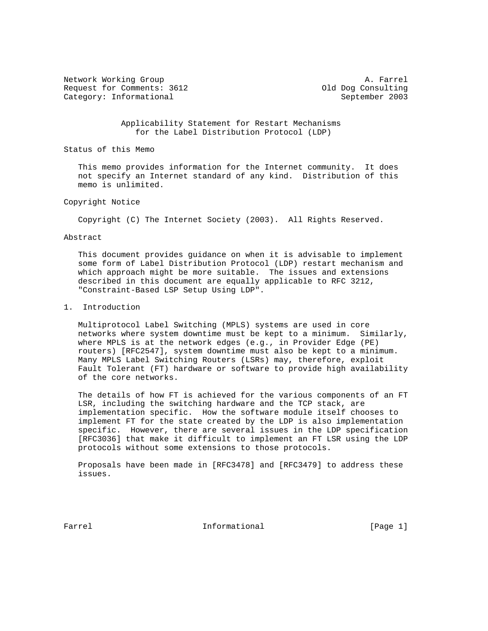Network Working Group and the set of the set of the set of the A. Farrel Request for Comments: 3612 (a) 01d Dog Consulting Category: Informational September 2003

 Applicability Statement for Restart Mechanisms for the Label Distribution Protocol (LDP)

Status of this Memo

 This memo provides information for the Internet community. It does not specify an Internet standard of any kind. Distribution of this memo is unlimited.

## Copyright Notice

Copyright (C) The Internet Society (2003). All Rights Reserved.

#### Abstract

 This document provides guidance on when it is advisable to implement some form of Label Distribution Protocol (LDP) restart mechanism and which approach might be more suitable. The issues and extensions described in this document are equally applicable to RFC 3212, "Constraint-Based LSP Setup Using LDP".

## 1. Introduction

 Multiprotocol Label Switching (MPLS) systems are used in core networks where system downtime must be kept to a minimum. Similarly, where MPLS is at the network edges (e.g., in Provider Edge (PE) routers) [RFC2547], system downtime must also be kept to a minimum. Many MPLS Label Switching Routers (LSRs) may, therefore, exploit Fault Tolerant (FT) hardware or software to provide high availability of the core networks.

 The details of how FT is achieved for the various components of an FT LSR, including the switching hardware and the TCP stack, are implementation specific. How the software module itself chooses to implement FT for the state created by the LDP is also implementation specific. However, there are several issues in the LDP specification [RFC3036] that make it difficult to implement an FT LSR using the LDP protocols without some extensions to those protocols.

 Proposals have been made in [RFC3478] and [RFC3479] to address these issues.

Farrel **Informational Informational** [Page 1]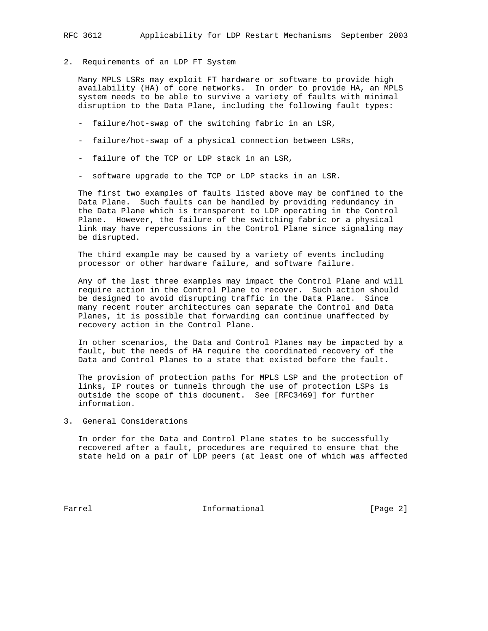2. Requirements of an LDP FT System

 Many MPLS LSRs may exploit FT hardware or software to provide high availability (HA) of core networks. In order to provide HA, an MPLS system needs to be able to survive a variety of faults with minimal disruption to the Data Plane, including the following fault types:

- failure/hot-swap of the switching fabric in an LSR,
- failure/hot-swap of a physical connection between LSRs,
- failure of the TCP or LDP stack in an LSR,
- software upgrade to the TCP or LDP stacks in an LSR.

 The first two examples of faults listed above may be confined to the Data Plane. Such faults can be handled by providing redundancy in the Data Plane which is transparent to LDP operating in the Control Plane. However, the failure of the switching fabric or a physical link may have repercussions in the Control Plane since signaling may be disrupted.

 The third example may be caused by a variety of events including processor or other hardware failure, and software failure.

 Any of the last three examples may impact the Control Plane and will require action in the Control Plane to recover. Such action should be designed to avoid disrupting traffic in the Data Plane. Since many recent router architectures can separate the Control and Data Planes, it is possible that forwarding can continue unaffected by recovery action in the Control Plane.

 In other scenarios, the Data and Control Planes may be impacted by a fault, but the needs of HA require the coordinated recovery of the Data and Control Planes to a state that existed before the fault.

 The provision of protection paths for MPLS LSP and the protection of links, IP routes or tunnels through the use of protection LSPs is outside the scope of this document. See [RFC3469] for further information.

3. General Considerations

 In order for the Data and Control Plane states to be successfully recovered after a fault, procedures are required to ensure that the state held on a pair of LDP peers (at least one of which was affected

Farrel **Informational Informational** [Page 2]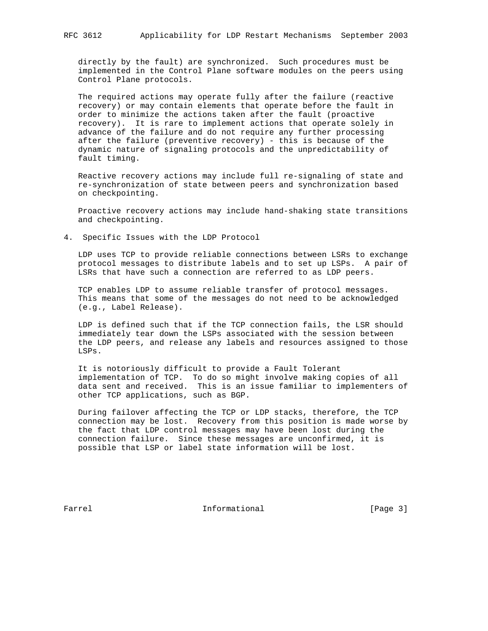directly by the fault) are synchronized. Such procedures must be implemented in the Control Plane software modules on the peers using Control Plane protocols.

 The required actions may operate fully after the failure (reactive recovery) or may contain elements that operate before the fault in order to minimize the actions taken after the fault (proactive recovery). It is rare to implement actions that operate solely in advance of the failure and do not require any further processing after the failure (preventive recovery) - this is because of the dynamic nature of signaling protocols and the unpredictability of fault timing.

 Reactive recovery actions may include full re-signaling of state and re-synchronization of state between peers and synchronization based on checkpointing.

 Proactive recovery actions may include hand-shaking state transitions and checkpointing.

4. Specific Issues with the LDP Protocol

 LDP uses TCP to provide reliable connections between LSRs to exchange protocol messages to distribute labels and to set up LSPs. A pair of LSRs that have such a connection are referred to as LDP peers.

 TCP enables LDP to assume reliable transfer of protocol messages. This means that some of the messages do not need to be acknowledged (e.g., Label Release).

 LDP is defined such that if the TCP connection fails, the LSR should immediately tear down the LSPs associated with the session between the LDP peers, and release any labels and resources assigned to those LSPs.

 It is notoriously difficult to provide a Fault Tolerant implementation of TCP. To do so might involve making copies of all data sent and received. This is an issue familiar to implementers of other TCP applications, such as BGP.

 During failover affecting the TCP or LDP stacks, therefore, the TCP connection may be lost. Recovery from this position is made worse by the fact that LDP control messages may have been lost during the connection failure. Since these messages are unconfirmed, it is possible that LSP or label state information will be lost.

Farrel **Informational Informational** [Page 3]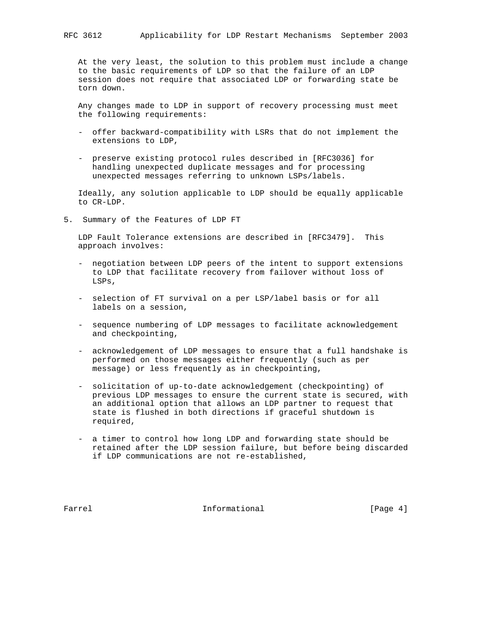At the very least, the solution to this problem must include a change to the basic requirements of LDP so that the failure of an LDP session does not require that associated LDP or forwarding state be torn down.

 Any changes made to LDP in support of recovery processing must meet the following requirements:

- offer backward-compatibility with LSRs that do not implement the extensions to LDP,
- preserve existing protocol rules described in [RFC3036] for handling unexpected duplicate messages and for processing unexpected messages referring to unknown LSPs/labels.

 Ideally, any solution applicable to LDP should be equally applicable to CR-LDP.

5. Summary of the Features of LDP FT

 LDP Fault Tolerance extensions are described in [RFC3479]. This approach involves:

- negotiation between LDP peers of the intent to support extensions to LDP that facilitate recovery from failover without loss of LSPs,
- selection of FT survival on a per LSP/label basis or for all labels on a session,
- sequence numbering of LDP messages to facilitate acknowledgement and checkpointing,
- acknowledgement of LDP messages to ensure that a full handshake is performed on those messages either frequently (such as per message) or less frequently as in checkpointing,
- solicitation of up-to-date acknowledgement (checkpointing) of previous LDP messages to ensure the current state is secured, with an additional option that allows an LDP partner to request that state is flushed in both directions if graceful shutdown is required,
- a timer to control how long LDP and forwarding state should be retained after the LDP session failure, but before being discarded if LDP communications are not re-established,

Farrel **Informational Informational** [Page 4]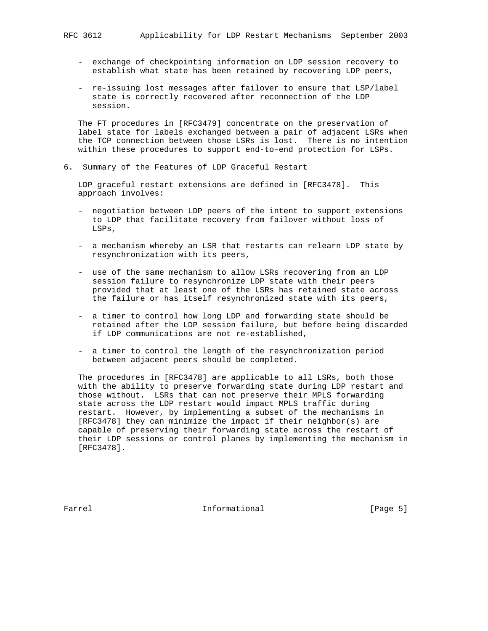- exchange of checkpointing information on LDP session recovery to establish what state has been retained by recovering LDP peers,
- re-issuing lost messages after failover to ensure that LSP/label state is correctly recovered after reconnection of the LDP session.

 The FT procedures in [RFC3479] concentrate on the preservation of label state for labels exchanged between a pair of adjacent LSRs when the TCP connection between those LSRs is lost. There is no intention within these procedures to support end-to-end protection for LSPs.

6. Summary of the Features of LDP Graceful Restart

 LDP graceful restart extensions are defined in [RFC3478]. This approach involves:

- negotiation between LDP peers of the intent to support extensions to LDP that facilitate recovery from failover without loss of LSPs,
- a mechanism whereby an LSR that restarts can relearn LDP state by resynchronization with its peers,
- use of the same mechanism to allow LSRs recovering from an LDP session failure to resynchronize LDP state with their peers provided that at least one of the LSRs has retained state across the failure or has itself resynchronized state with its peers,
- a timer to control how long LDP and forwarding state should be retained after the LDP session failure, but before being discarded if LDP communications are not re-established,
- a timer to control the length of the resynchronization period between adjacent peers should be completed.

 The procedures in [RFC3478] are applicable to all LSRs, both those with the ability to preserve forwarding state during LDP restart and those without. LSRs that can not preserve their MPLS forwarding state across the LDP restart would impact MPLS traffic during restart. However, by implementing a subset of the mechanisms in [RFC3478] they can minimize the impact if their neighbor(s) are capable of preserving their forwarding state across the restart of their LDP sessions or control planes by implementing the mechanism in [RFC3478].

Farrel **Informational Informational** [Page 5]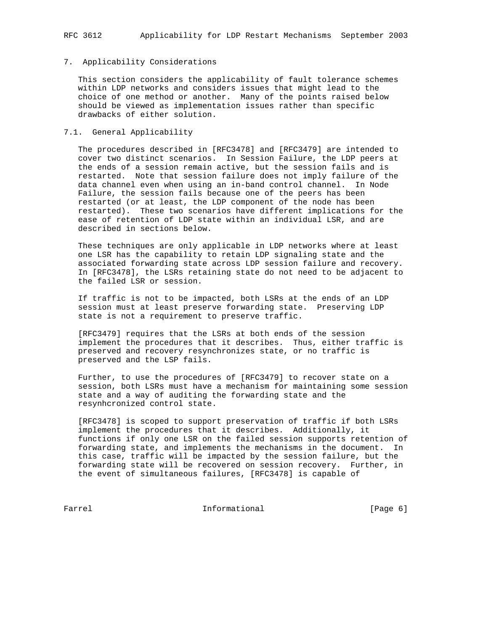## 7. Applicability Considerations

 This section considers the applicability of fault tolerance schemes within LDP networks and considers issues that might lead to the choice of one method or another. Many of the points raised below should be viewed as implementation issues rather than specific drawbacks of either solution.

## 7.1. General Applicability

 The procedures described in [RFC3478] and [RFC3479] are intended to cover two distinct scenarios. In Session Failure, the LDP peers at the ends of a session remain active, but the session fails and is restarted. Note that session failure does not imply failure of the data channel even when using an in-band control channel. In Node Failure, the session fails because one of the peers has been restarted (or at least, the LDP component of the node has been restarted). These two scenarios have different implications for the ease of retention of LDP state within an individual LSR, and are described in sections below.

 These techniques are only applicable in LDP networks where at least one LSR has the capability to retain LDP signaling state and the associated forwarding state across LDP session failure and recovery. In [RFC3478], the LSRs retaining state do not need to be adjacent to the failed LSR or session.

 If traffic is not to be impacted, both LSRs at the ends of an LDP session must at least preserve forwarding state. Preserving LDP state is not a requirement to preserve traffic.

 [RFC3479] requires that the LSRs at both ends of the session implement the procedures that it describes. Thus, either traffic is preserved and recovery resynchronizes state, or no traffic is preserved and the LSP fails.

 Further, to use the procedures of [RFC3479] to recover state on a session, both LSRs must have a mechanism for maintaining some session state and a way of auditing the forwarding state and the resynhcronized control state.

 [RFC3478] is scoped to support preservation of traffic if both LSRs implement the procedures that it describes. Additionally, it functions if only one LSR on the failed session supports retention of forwarding state, and implements the mechanisms in the document. In this case, traffic will be impacted by the session failure, but the forwarding state will be recovered on session recovery. Further, in the event of simultaneous failures, [RFC3478] is capable of

Farrel **Informational Informational** [Page 6]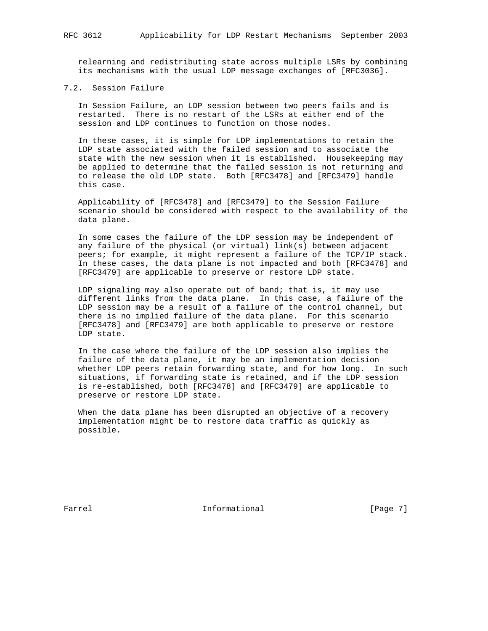relearning and redistributing state across multiple LSRs by combining its mechanisms with the usual LDP message exchanges of [RFC3036].

# 7.2. Session Failure

 In Session Failure, an LDP session between two peers fails and is restarted. There is no restart of the LSRs at either end of the session and LDP continues to function on those nodes.

 In these cases, it is simple for LDP implementations to retain the LDP state associated with the failed session and to associate the state with the new session when it is established. Housekeeping may be applied to determine that the failed session is not returning and to release the old LDP state. Both [RFC3478] and [RFC3479] handle this case.

 Applicability of [RFC3478] and [RFC3479] to the Session Failure scenario should be considered with respect to the availability of the data plane.

 In some cases the failure of the LDP session may be independent of any failure of the physical (or virtual) link(s) between adjacent peers; for example, it might represent a failure of the TCP/IP stack. In these cases, the data plane is not impacted and both [RFC3478] and [RFC3479] are applicable to preserve or restore LDP state.

 LDP signaling may also operate out of band; that is, it may use different links from the data plane. In this case, a failure of the LDP session may be a result of a failure of the control channel, but there is no implied failure of the data plane. For this scenario [RFC3478] and [RFC3479] are both applicable to preserve or restore LDP state.

 In the case where the failure of the LDP session also implies the failure of the data plane, it may be an implementation decision whether LDP peers retain forwarding state, and for how long. In such situations, if forwarding state is retained, and if the LDP session is re-established, both [RFC3478] and [RFC3479] are applicable to preserve or restore LDP state.

 When the data plane has been disrupted an objective of a recovery implementation might be to restore data traffic as quickly as possible.

Farrel **Informational Informational** [Page 7]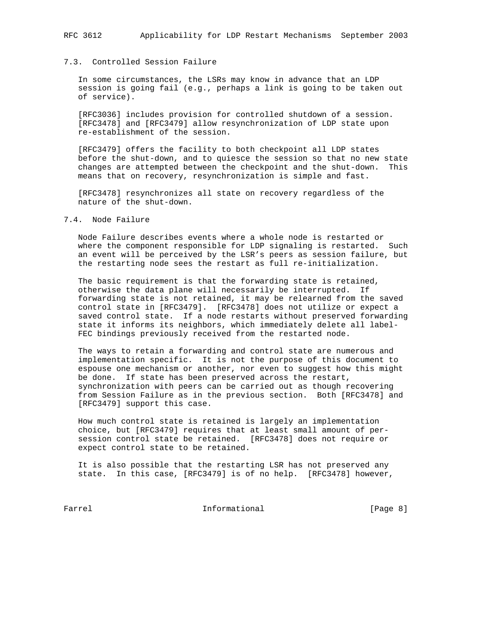## 7.3. Controlled Session Failure

 In some circumstances, the LSRs may know in advance that an LDP session is going fail (e.g., perhaps a link is going to be taken out of service).

 [RFC3036] includes provision for controlled shutdown of a session. [RFC3478] and [RFC3479] allow resynchronization of LDP state upon re-establishment of the session.

 [RFC3479] offers the facility to both checkpoint all LDP states before the shut-down, and to quiesce the session so that no new state changes are attempted between the checkpoint and the shut-down. This means that on recovery, resynchronization is simple and fast.

 [RFC3478] resynchronizes all state on recovery regardless of the nature of the shut-down.

## 7.4. Node Failure

 Node Failure describes events where a whole node is restarted or where the component responsible for LDP signaling is restarted. Such an event will be perceived by the LSR's peers as session failure, but the restarting node sees the restart as full re-initialization.

 The basic requirement is that the forwarding state is retained, otherwise the data plane will necessarily be interrupted. If forwarding state is not retained, it may be relearned from the saved control state in [RFC3479]. [RFC3478] does not utilize or expect a saved control state. If a node restarts without preserved forwarding state it informs its neighbors, which immediately delete all label- FEC bindings previously received from the restarted node.

 The ways to retain a forwarding and control state are numerous and implementation specific. It is not the purpose of this document to espouse one mechanism or another, nor even to suggest how this might be done. If state has been preserved across the restart, synchronization with peers can be carried out as though recovering from Session Failure as in the previous section. Both [RFC3478] and [RFC3479] support this case.

 How much control state is retained is largely an implementation choice, but [RFC3479] requires that at least small amount of per session control state be retained. [RFC3478] does not require or expect control state to be retained.

 It is also possible that the restarting LSR has not preserved any state. In this case, [RFC3479] is of no help. [RFC3478] however,

Farrel **Informational Informational** [Page 8]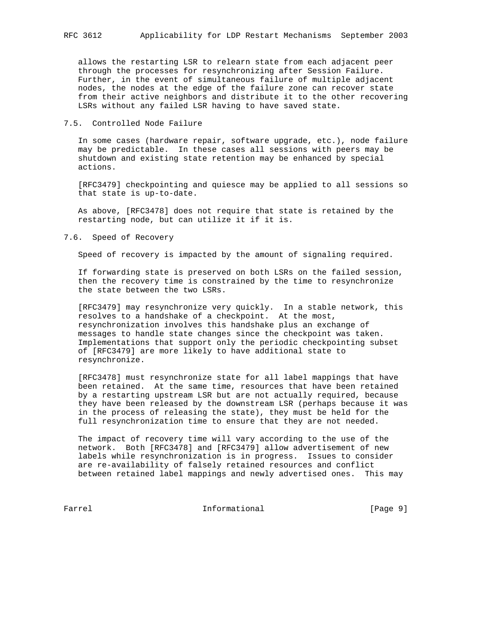allows the restarting LSR to relearn state from each adjacent peer through the processes for resynchronizing after Session Failure. Further, in the event of simultaneous failure of multiple adjacent nodes, the nodes at the edge of the failure zone can recover state from their active neighbors and distribute it to the other recovering LSRs without any failed LSR having to have saved state.

## 7.5. Controlled Node Failure

 In some cases (hardware repair, software upgrade, etc.), node failure may be predictable. In these cases all sessions with peers may be shutdown and existing state retention may be enhanced by special actions.

 [RFC3479] checkpointing and quiesce may be applied to all sessions so that state is up-to-date.

 As above, [RFC3478] does not require that state is retained by the restarting node, but can utilize it if it is.

#### 7.6. Speed of Recovery

Speed of recovery is impacted by the amount of signaling required.

 If forwarding state is preserved on both LSRs on the failed session, then the recovery time is constrained by the time to resynchronize the state between the two LSRs.

 [RFC3479] may resynchronize very quickly. In a stable network, this resolves to a handshake of a checkpoint. At the most, resynchronization involves this handshake plus an exchange of messages to handle state changes since the checkpoint was taken. Implementations that support only the periodic checkpointing subset of [RFC3479] are more likely to have additional state to resynchronize.

 [RFC3478] must resynchronize state for all label mappings that have been retained. At the same time, resources that have been retained by a restarting upstream LSR but are not actually required, because they have been released by the downstream LSR (perhaps because it was in the process of releasing the state), they must be held for the full resynchronization time to ensure that they are not needed.

 The impact of recovery time will vary according to the use of the network. Both [RFC3478] and [RFC3479] allow advertisement of new labels while resynchronization is in progress. Issues to consider are re-availability of falsely retained resources and conflict between retained label mappings and newly advertised ones. This may

Farrel **Informational Informational** [Page 9]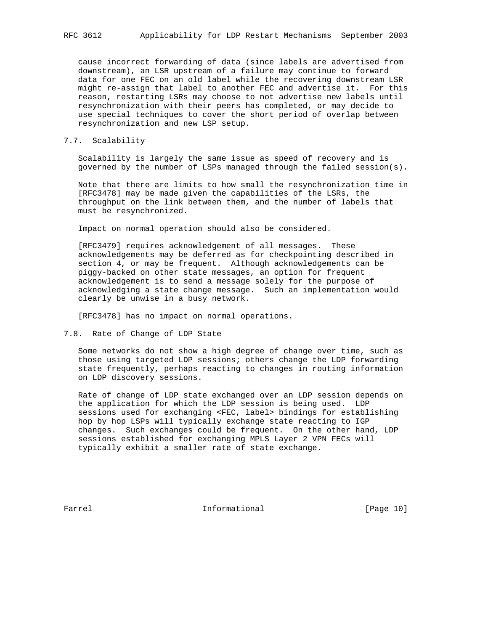cause incorrect forwarding of data (since labels are advertised from downstream), an LSR upstream of a failure may continue to forward data for one FEC on an old label while the recovering downstream LSR might re-assign that label to another FEC and advertise it. For this reason, restarting LSRs may choose to not advertise new labels until resynchronization with their peers has completed, or may decide to use special techniques to cover the short period of overlap between resynchronization and new LSP setup.

## 7.7. Scalability

 Scalability is largely the same issue as speed of recovery and is governed by the number of LSPs managed through the failed session(s).

 Note that there are limits to how small the resynchronization time in [RFC3478] may be made given the capabilities of the LSRs, the throughput on the link between them, and the number of labels that must be resynchronized.

Impact on normal operation should also be considered.

 [RFC3479] requires acknowledgement of all messages. These acknowledgements may be deferred as for checkpointing described in section 4, or may be frequent. Although acknowledgements can be piggy-backed on other state messages, an option for frequent acknowledgement is to send a message solely for the purpose of acknowledging a state change message. Such an implementation would clearly be unwise in a busy network.

[RFC3478] has no impact on normal operations.

7.8. Rate of Change of LDP State

 Some networks do not show a high degree of change over time, such as those using targeted LDP sessions; others change the LDP forwarding state frequently, perhaps reacting to changes in routing information on LDP discovery sessions.

 Rate of change of LDP state exchanged over an LDP session depends on the application for which the LDP session is being used. LDP sessions used for exchanging <FEC, label> bindings for establishing hop by hop LSPs will typically exchange state reacting to IGP changes. Such exchanges could be frequent. On the other hand, LDP sessions established for exchanging MPLS Layer 2 VPN FECs will typically exhibit a smaller rate of state exchange.

Farrel **Informational Informational** [Page 10]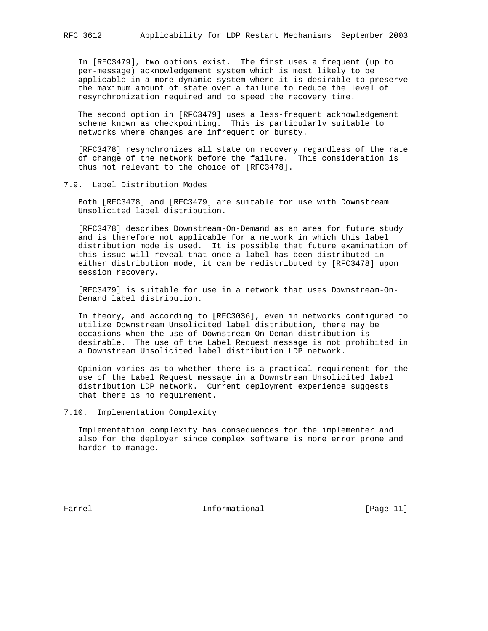In [RFC3479], two options exist. The first uses a frequent (up to per-message) acknowledgement system which is most likely to be applicable in a more dynamic system where it is desirable to preserve the maximum amount of state over a failure to reduce the level of resynchronization required and to speed the recovery time.

 The second option in [RFC3479] uses a less-frequent acknowledgement scheme known as checkpointing. This is particularly suitable to networks where changes are infrequent or bursty.

 [RFC3478] resynchronizes all state on recovery regardless of the rate of change of the network before the failure. This consideration is thus not relevant to the choice of [RFC3478].

7.9. Label Distribution Modes

 Both [RFC3478] and [RFC3479] are suitable for use with Downstream Unsolicited label distribution.

 [RFC3478] describes Downstream-On-Demand as an area for future study and is therefore not applicable for a network in which this label distribution mode is used. It is possible that future examination of this issue will reveal that once a label has been distributed in either distribution mode, it can be redistributed by [RFC3478] upon session recovery.

 [RFC3479] is suitable for use in a network that uses Downstream-On- Demand label distribution.

 In theory, and according to [RFC3036], even in networks configured to utilize Downstream Unsolicited label distribution, there may be occasions when the use of Downstream-On-Deman distribution is desirable. The use of the Label Request message is not prohibited in a Downstream Unsolicited label distribution LDP network.

 Opinion varies as to whether there is a practical requirement for the use of the Label Request message in a Downstream Unsolicited label distribution LDP network. Current deployment experience suggests that there is no requirement.

7.10. Implementation Complexity

 Implementation complexity has consequences for the implementer and also for the deployer since complex software is more error prone and harder to manage.

Farrel **Informational Informational** [Page 11]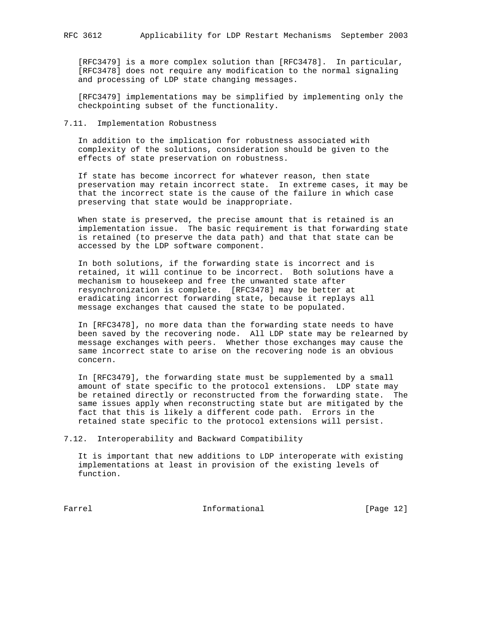[RFC3479] is a more complex solution than [RFC3478]. In particular, [RFC3478] does not require any modification to the normal signaling and processing of LDP state changing messages.

 [RFC3479] implementations may be simplified by implementing only the checkpointing subset of the functionality.

## 7.11. Implementation Robustness

 In addition to the implication for robustness associated with complexity of the solutions, consideration should be given to the effects of state preservation on robustness.

 If state has become incorrect for whatever reason, then state preservation may retain incorrect state. In extreme cases, it may be that the incorrect state is the cause of the failure in which case preserving that state would be inappropriate.

 When state is preserved, the precise amount that is retained is an implementation issue. The basic requirement is that forwarding state is retained (to preserve the data path) and that that state can be accessed by the LDP software component.

 In both solutions, if the forwarding state is incorrect and is retained, it will continue to be incorrect. Both solutions have a mechanism to housekeep and free the unwanted state after resynchronization is complete. [RFC3478] may be better at eradicating incorrect forwarding state, because it replays all message exchanges that caused the state to be populated.

 In [RFC3478], no more data than the forwarding state needs to have been saved by the recovering node. All LDP state may be relearned by message exchanges with peers. Whether those exchanges may cause the same incorrect state to arise on the recovering node is an obvious concern.

 In [RFC3479], the forwarding state must be supplemented by a small amount of state specific to the protocol extensions. LDP state may be retained directly or reconstructed from the forwarding state. The same issues apply when reconstructing state but are mitigated by the fact that this is likely a different code path. Errors in the retained state specific to the protocol extensions will persist.

7.12. Interoperability and Backward Compatibility

 It is important that new additions to LDP interoperate with existing implementations at least in provision of the existing levels of function.

Farrel **Informational Informational** [Page 12]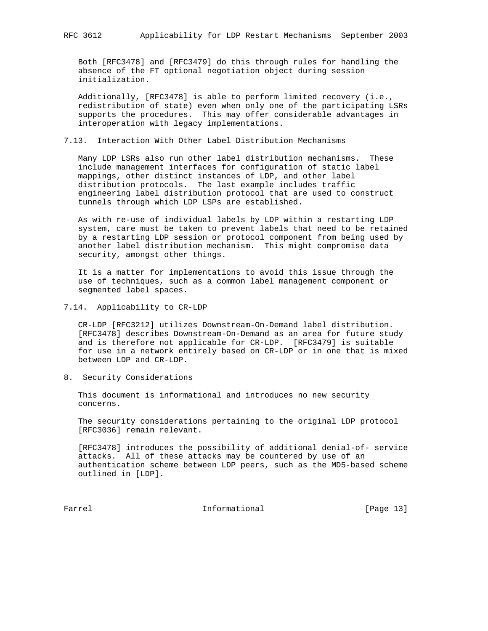Both [RFC3478] and [RFC3479] do this through rules for handling the absence of the FT optional negotiation object during session initialization.

 Additionally, [RFC3478] is able to perform limited recovery (i.e., redistribution of state) even when only one of the participating LSRs supports the procedures. This may offer considerable advantages in interoperation with legacy implementations.

## 7.13. Interaction With Other Label Distribution Mechanisms

 Many LDP LSRs also run other label distribution mechanisms. These include management interfaces for configuration of static label mappings, other distinct instances of LDP, and other label distribution protocols. The last example includes traffic engineering label distribution protocol that are used to construct tunnels through which LDP LSPs are established.

 As with re-use of individual labels by LDP within a restarting LDP system, care must be taken to prevent labels that need to be retained by a restarting LDP session or protocol component from being used by another label distribution mechanism. This might compromise data security, amongst other things.

 It is a matter for implementations to avoid this issue through the use of techniques, such as a common label management component or segmented label spaces.

7.14. Applicability to CR-LDP

 CR-LDP [RFC3212] utilizes Downstream-On-Demand label distribution. [RFC3478] describes Downstream-On-Demand as an area for future study and is therefore not applicable for CR-LDP. [RFC3479] is suitable for use in a network entirely based on CR-LDP or in one that is mixed between LDP and CR-LDP.

8. Security Considerations

 This document is informational and introduces no new security concerns.

 The security considerations pertaining to the original LDP protocol [RFC3036] remain relevant.

 [RFC3478] introduces the possibility of additional denial-of- service attacks. All of these attacks may be countered by use of an authentication scheme between LDP peers, such as the MD5-based scheme outlined in [LDP].

Farrel **Informational Informational** [Page 13]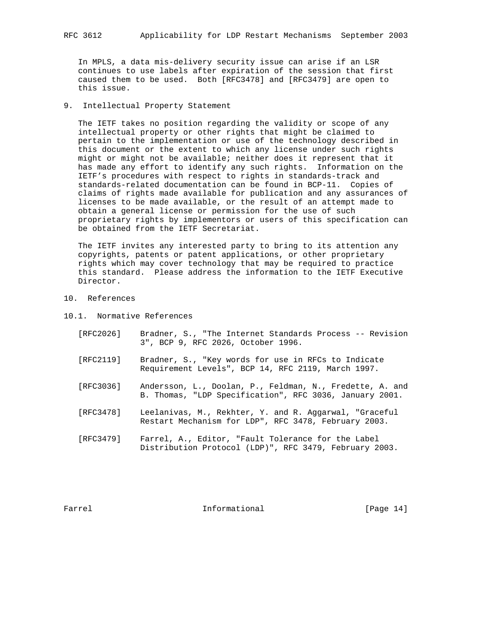In MPLS, a data mis-delivery security issue can arise if an LSR continues to use labels after expiration of the session that first caused them to be used. Both [RFC3478] and [RFC3479] are open to this issue.

9. Intellectual Property Statement

 The IETF takes no position regarding the validity or scope of any intellectual property or other rights that might be claimed to pertain to the implementation or use of the technology described in this document or the extent to which any license under such rights might or might not be available; neither does it represent that it has made any effort to identify any such rights. Information on the IETF's procedures with respect to rights in standards-track and standards-related documentation can be found in BCP-11. Copies of claims of rights made available for publication and any assurances of licenses to be made available, or the result of an attempt made to obtain a general license or permission for the use of such proprietary rights by implementors or users of this specification can be obtained from the IETF Secretariat.

 The IETF invites any interested party to bring to its attention any copyrights, patents or patent applications, or other proprietary rights which may cover technology that may be required to practice this standard. Please address the information to the IETF Executive Director.

- 10. References
- 10.1. Normative References
	- [RFC2026] Bradner, S., "The Internet Standards Process -- Revision 3", BCP 9, RFC 2026, October 1996.
	- [RFC2119] Bradner, S., "Key words for use in RFCs to Indicate Requirement Levels", BCP 14, RFC 2119, March 1997.
	- [RFC3036] Andersson, L., Doolan, P., Feldman, N., Fredette, A. and B. Thomas, "LDP Specification", RFC 3036, January 2001.
	- [RFC3478] Leelanivas, M., Rekhter, Y. and R. Aggarwal, "Graceful Restart Mechanism for LDP", RFC 3478, February 2003.
	- [RFC3479] Farrel, A., Editor, "Fault Tolerance for the Label Distribution Protocol (LDP)", RFC 3479, February 2003.

Farrel **Informational Informational** [Page 14]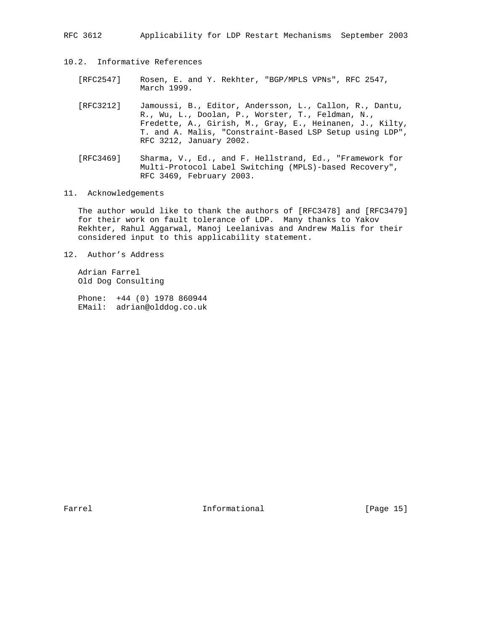- 10.2. Informative References
	- [RFC2547] Rosen, E. and Y. Rekhter, "BGP/MPLS VPNs", RFC 2547, March 1999.
	- [RFC3212] Jamoussi, B., Editor, Andersson, L., Callon, R., Dantu, R., Wu, L., Doolan, P., Worster, T., Feldman, N., Fredette, A., Girish, M., Gray, E., Heinanen, J., Kilty, T. and A. Malis, "Constraint-Based LSP Setup using LDP", RFC 3212, January 2002.
	- [RFC3469] Sharma, V., Ed., and F. Hellstrand, Ed., "Framework for Multi-Protocol Label Switching (MPLS)-based Recovery", RFC 3469, February 2003.
- 11. Acknowledgements

 The author would like to thank the authors of [RFC3478] and [RFC3479] for their work on fault tolerance of LDP. Many thanks to Yakov Rekhter, Rahul Aggarwal, Manoj Leelanivas and Andrew Malis for their considered input to this applicability statement.

12. Author's Address

 Adrian Farrel Old Dog Consulting

 Phone: +44 (0) 1978 860944 EMail: adrian@olddog.co.uk

Farrel **Informational Informational** [Page 15]